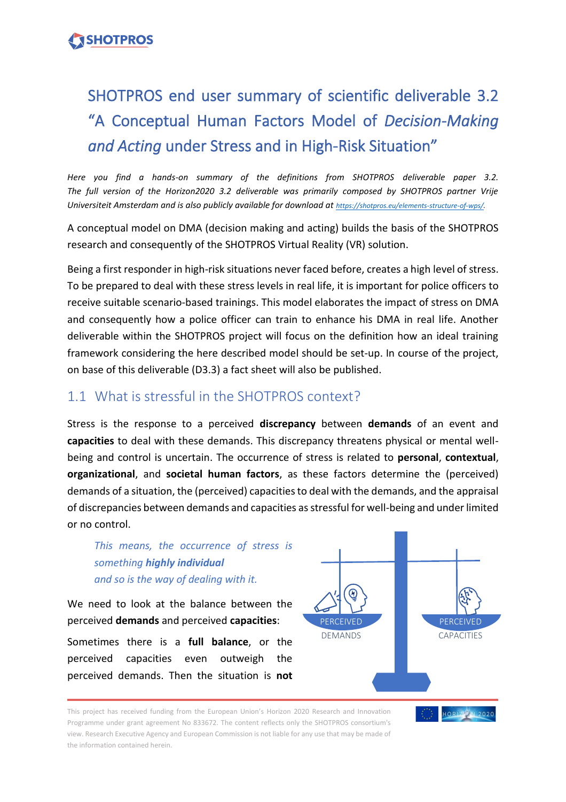## **SHOTPROS**

# SHOTPROS end user summary of scientific deliverable 3.2 "A Conceptual Human Factors Model of *Decision-Making and Acting* under Stress and in High-Risk Situation"

*Here you find a hands-on summary of the definitions from SHOTPROS deliverable paper 3.2. The full version of the Horizon2020 3.2 deliverable was primarily composed by SHOTPROS partner Vrije*  Universiteit Amsterdam and is also publicly available for download at *[https://shotpros.eu/elements-structure-of-wps/.](https://shotpros.eu/elements-structure-of-wps/)* 

A conceptual model on DMA (decision making and acting) builds the basis of the SHOTPROS research and consequently of the SHOTPROS Virtual Reality (VR) solution.

Being a first responder in high-risk situations never faced before, creates a high level of stress. To be prepared to deal with these stress levels in real life, it is important for police officers to receive suitable scenario-based trainings. This model elaborates the impact of stress on DMA and consequently how a police officer can train to enhance his DMA in real life. Another deliverable within the SHOTPROS project will focus on the definition how an ideal training framework considering the here described model should be set-up. In course of the project, on base of this deliverable (D3.3) a fact sheet will also be published.

## 1.1 What is stressful in the SHOTPROS context?

Stress is the response to a perceived **discrepancy** between **demands** of an event and **capacities** to deal with these demands. This discrepancy threatens physical or mental wellbeing and control is uncertain. The occurrence of stress is related to **personal**, **contextual**, **organizational**, and **societal human factors**, as these factors determine the (perceived) demands of a situation, the (perceived) capacities to deal with the demands, and the appraisal of discrepancies between demands and capacities as stressful for well-being and under limited or no control.

*This means, the occurrence of stress is something highly individual and so is the way of dealing with it.* 

We need to look at the balance between the perceived **demands** and perceived **capacities**:

Sometimes there is a **full balance**, or the perceived capacities even outweigh the perceived demands. Then the situation is **not**



HORIZION 2020

This project has received funding from the European Union's Horizon 2020 Research and Innovation Programme under grant agreement No 833672. The content reflects only the SHOTPROS consortium's view. Research Executive Agency and European Commission is not liable for any use that may be made of the information contained herein.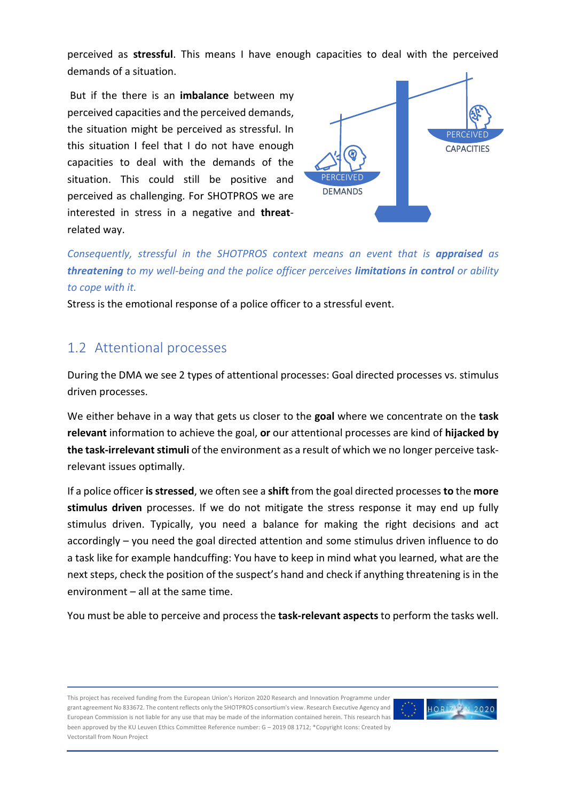perceived as **stressful**. This means I have enough capacities to deal with the perceived demands of a situation.

But if the there is an **imbalance** between my perceived capacities and the perceived demands, the situation might be perceived as stressful. In this situation I feel that I do not have enough capacities to deal with the demands of the situation. This could still be positive and perceived as challenging. For SHOTPROS we are interested in stress in a negative and **threat**related way.



*Consequently, stressful in the SHOTPROS context means an event that is appraised as threatening to my well-being and the police officer perceives limitations in control or ability to cope with it.* 

Stress is the emotional response of a police officer to a stressful event.

### 1.2 Attentional processes

During the DMA we see 2 types of attentional processes: Goal directed processes vs. stimulus driven processes.

We either behave in a way that gets us closer to the **goal** where we concentrate on the **task relevant** information to achieve the goal, **or** our attentional processes are kind of **hijacked by the task-irrelevant stimuli** of the environment as a result of which we no longer perceive taskrelevant issues optimally.

If a police officer **isstressed**, we often see a **shift** from the goal directed processes **to** the **more stimulus driven** processes. If we do not mitigate the stress response it may end up fully stimulus driven. Typically, you need a balance for making the right decisions and act accordingly – you need the goal directed attention and some stimulus driven influence to do a task like for example handcuffing: You have to keep in mind what you learned, what are the next steps, check the position of the suspect's hand and check if anything threatening is in the environment – all at the same time.

You must be able to perceive and process the **task-relevant aspects**to perform the tasks well.

This project has received funding from the European Union's Horizon 2020 Research and Innovation Programme under grant agreement No 833672. The content reflects only the SHOTPROS consortium's view. Research Executive Agency and European Commission is not liable for any use that may be made of the information contained herein. This research has been approved by the KU Leuven Ethics Committee Reference number: G – 2019 08 1712; \*Copyright Icons: Created by Vectorstall from Noun Project

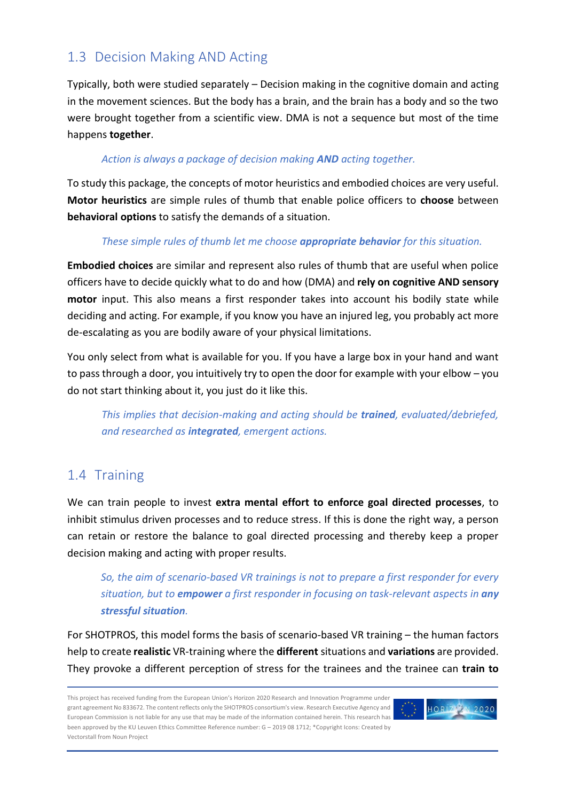## 1.3 Decision Making AND Acting

Typically, both were studied separately – Decision making in the cognitive domain and acting in the movement sciences. But the body has a brain, and the brain has a body and so the two were brought together from a scientific view. DMA is not a sequence but most of the time happens **together**.

#### *Action is always a package of decision making AND acting together.*

To study this package, the concepts of motor heuristics and embodied choices are very useful. **Motor heuristics** are simple rules of thumb that enable police officers to **choose** between **behavioral options** to satisfy the demands of a situation.

#### *These simple rules of thumb let me choose appropriate behavior for this situation.*

**Embodied choices** are similar and represent also rules of thumb that are useful when police officers have to decide quickly what to do and how (DMA) and **rely on cognitive AND sensory motor** input. This also means a first responder takes into account his bodily state while deciding and acting. For example, if you know you have an injured leg, you probably act more de-escalating as you are bodily aware of your physical limitations.

You only select from what is available for you. If you have a large box in your hand and want to pass through a door, you intuitively try to open the door for example with your elbow – you do not start thinking about it, you just do it like this.

*This implies that decision-making and acting should be trained, evaluated/debriefed, and researched as integrated, emergent actions.*

## 1.4 Training

We can train people to invest **extra mental effort to enforce goal directed processes**, to inhibit stimulus driven processes and to reduce stress. If this is done the right way, a person can retain or restore the balance to goal directed processing and thereby keep a proper decision making and acting with proper results.

*So, the aim of scenario-based VR trainings is not to prepare a first responder for every situation, but to empower a first responder in focusing on task-relevant aspects in any stressful situation.* 

For SHOTPROS, this model forms the basis of scenario-based VR training – the human factors help to create **realistic** VR-training where the **different** situations and **variations** are provided. They provoke a different perception of stress for the trainees and the trainee can **train to** 

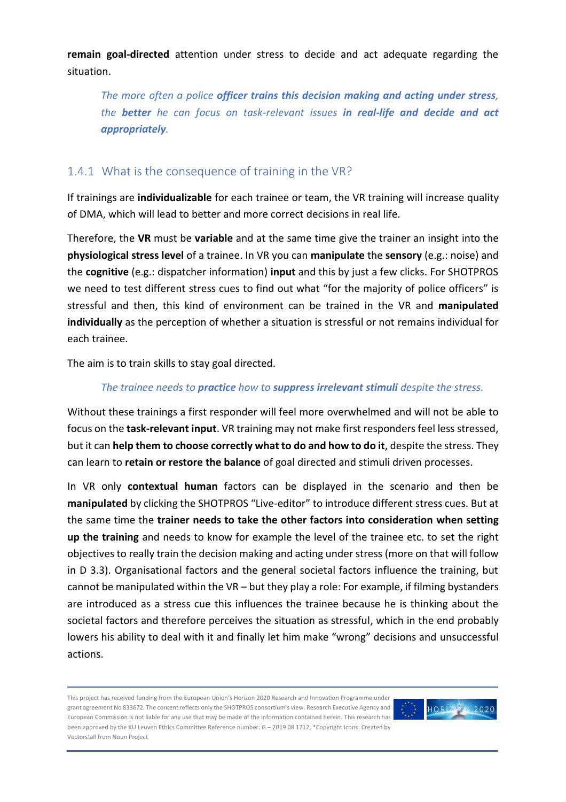**remain goal-directed** attention under stress to decide and act adequate regarding the situation.

*The more often a police officer trains this decision making and acting under stress, the better he can focus on task-relevant issues in real-life and decide and act appropriately.* 

#### 1.4.1 What is the consequence of training in the VR?

If trainings are **individualizable** for each trainee or team, the VR training will increase quality of DMA, which will lead to better and more correct decisions in real life.

Therefore, the **VR** must be **variable** and at the same time give the trainer an insight into the **physiological stress level** of a trainee. In VR you can **manipulate** the **sensory** (e.g.: noise) and the **cognitive** (e.g.: dispatcher information) **input** and this by just a few clicks. For SHOTPROS we need to test different stress cues to find out what "for the majority of police officers" is stressful and then, this kind of environment can be trained in the VR and **manipulated individually** as the perception of whether a situation is stressful or not remains individual for each trainee.

The aim is to train skills to stay goal directed.

#### *The trainee needs to practice how to suppress irrelevant stimuli despite the stress.*

Without these trainings a first responder will feel more overwhelmed and will not be able to focus on the **task-relevant input**. VR training may not make first responders feel less stressed, but it can **help them to choose correctly what to do and how to do it**, despite the stress. They can learn to **retain or restore the balance** of goal directed and stimuli driven processes.

In VR only **contextual human** factors can be displayed in the scenario and then be **manipulated** by clicking the SHOTPROS "Live-editor" to introduce different stress cues. But at the same time the **trainer needs to take the other factors into consideration when setting up the training** and needs to know for example the level of the trainee etc. to set the right objectives to really train the decision making and acting under stress (more on that will follow in D 3.3). Organisational factors and the general societal factors influence the training, but cannot be manipulated within the VR – but they play a role: For example, if filming bystanders are introduced as a stress cue this influences the trainee because he is thinking about the societal factors and therefore perceives the situation as stressful, which in the end probably lowers his ability to deal with it and finally let him make "wrong" decisions and unsuccessful actions.

This project has received funding from the European Union's Horizon 2020 Research and Innovation Programme under grant agreement No 833672. The content reflects only the SHOTPROS consortium's view. Research Executive Agency and European Commission is not liable for any use that may be made of the information contained herein. This research has been approved by the KU Leuven Ethics Committee Reference number: G – 2019 08 1712; \*Copyright Icons: Created by Vectorstall from Noun Project